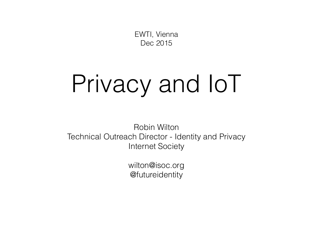EWTI, Vienna Dec 2015

# Privacy and IoT

Robin Wilton Technical Outreach Director - Identity and Privacy Internet Society

> wilton@isoc.org @futureidentity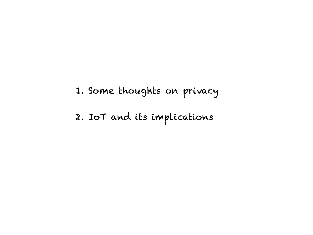1. Some thoughts on privacy

2. IoT and its implications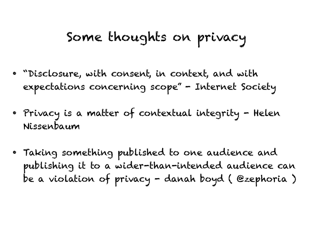### Some thoughts on privacy

- "Disclosure, with consent, in context, and with expectations concerning scope" - Internet Society
- Privacy is a matter of contextual integrity Helen Nissenbaum
- Taking something published to one audience and publishing it to a wider-than-intended audience can be a violation of privacy - danah boyd ( @zephoria )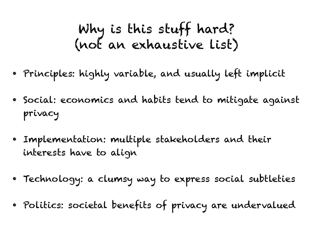## Why is this stuff hard? (not an exhaustive list)

- Principles: highly variable, and usually left implicit
- Social: economics and habits tend to mitigate against privacy
- Implementation: multiple stakeholders and their interests have to align
- Technology: a clumsy way to express social subtleties
- Politics: societal benefits of privacy are undervalued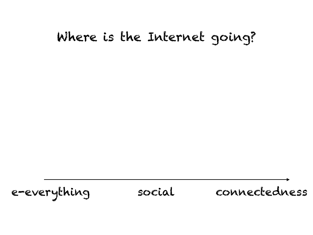### Where is the Internet going?

e-everything social connectedness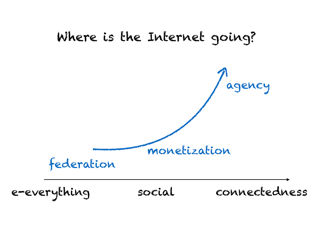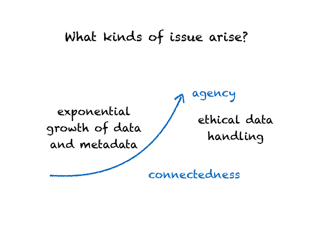#### What kinds of issue arise?

exponential growth of data and metadata

ethical data handling

agency

connectedness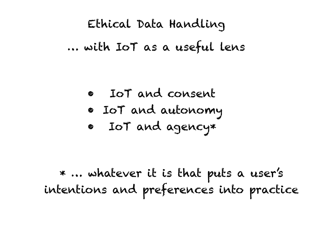## Ethical Data Handling … with IoT as a useful lens

• IoT and consent • IoT and autonomy • IoT and agency\*

\* … whatever it is that puts a user's intentions and preferences into practice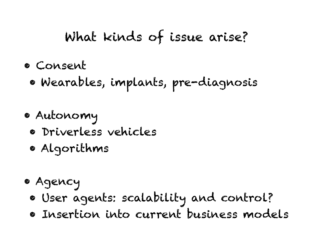## What kinds of issue arise?

- Consent
	- Wearables, implants, pre-diagnosis
- Autonomy
	- Driverless vehicles
	- Algorithms
- Agency
	- User agents: scalability and control?
	- Insertion into current business models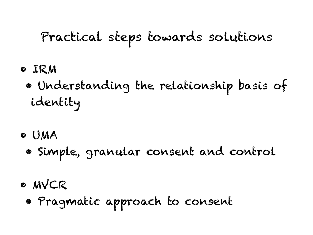## Practical steps towards solutions

- IRM
	- Understanding the relationship basis of identity
- UMA
	- Simple, granular consent and control
- MVCR
	- Pragmatic approach to consent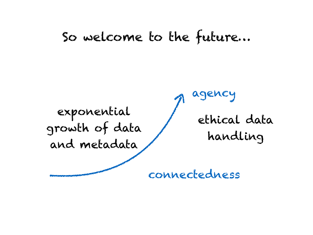#### So welcome to the future…

exponential growth of data and metadata

ethical data handling

agency

connectedness